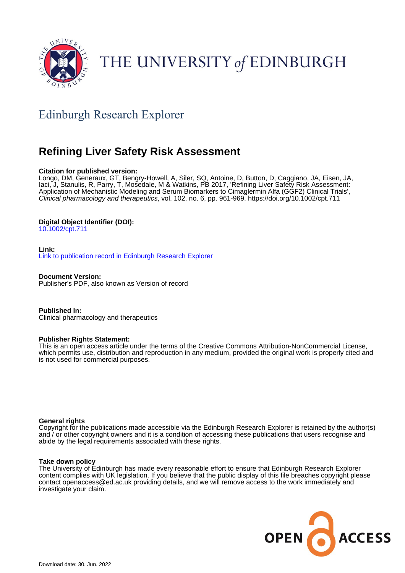

# THE UNIVERSITY of EDINBURGH

# Edinburgh Research Explorer

# **Refining Liver Safety Risk Assessment**

# **Citation for published version:**

Longo, DM, Generaux, GT, Bengry-Howell, A, Siler, SQ, Antoine, D, Button, D, Caggiano, JA, Eisen, JA, Iaci, J, Stanulis, R, Parry, T, Mosedale, M & Watkins, PB 2017, 'Refining Liver Safety Risk Assessment: Application of Mechanistic Modeling and Serum Biomarkers to Cimaglermin Alfa (GGF2) Clinical Trials', Clinical pharmacology and therapeutics, vol. 102, no. 6, pp. 961-969.<https://doi.org/10.1002/cpt.711>

# **Digital Object Identifier (DOI):**

[10.1002/cpt.711](https://doi.org/10.1002/cpt.711)

# **Link:**

[Link to publication record in Edinburgh Research Explorer](https://www.research.ed.ac.uk/en/publications/7609d1a2-7f75-44b1-934a-0f72a2b13125)

**Document Version:** Publisher's PDF, also known as Version of record

**Published In:** Clinical pharmacology and therapeutics

# **Publisher Rights Statement:**

This is an open access article under the terms of the Creative Commons Attribution-NonCommercial License, which permits use, distribution and reproduction in any medium, provided the original work is properly cited and is not used for commercial purposes.

# **General rights**

Copyright for the publications made accessible via the Edinburgh Research Explorer is retained by the author(s) and / or other copyright owners and it is a condition of accessing these publications that users recognise and abide by the legal requirements associated with these rights.

# **Take down policy**

The University of Edinburgh has made every reasonable effort to ensure that Edinburgh Research Explorer content complies with UK legislation. If you believe that the public display of this file breaches copyright please contact openaccess@ed.ac.uk providing details, and we will remove access to the work immediately and investigate your claim.

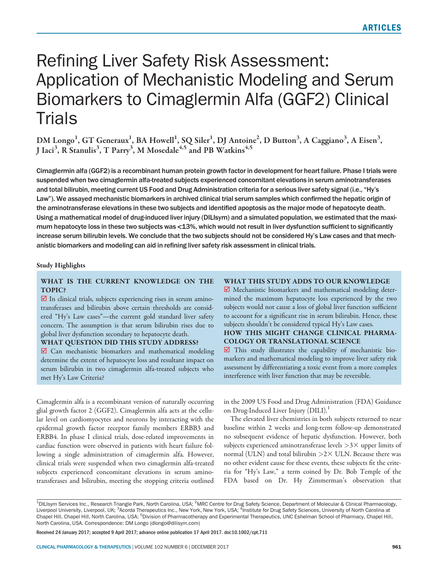# Refining Liver Safety Risk Assessment: Application of Mechanistic Modeling and Serum Biomarkers to Cimaglermin Alfa (GGF2) Clinical Trials

DM Longo<sup>1</sup>, GT Generaux<sup>1</sup>, BA Howell<sup>1</sup>, SQ Siler<sup>1</sup>, DJ Antoine<sup>2</sup>, D Button<sup>3</sup>, A Caggiano<sup>3</sup>, A Eisen<sup>3</sup>, J Iaci<sup>3</sup>, R Stanulis<sup>3</sup>, T Parry<sup>3</sup>, M Mosedale<sup>4,5</sup> and PB Watkins<sup>4,5</sup>

Cimaglermin alfa (GGF2) is a recombinant human protein growth factor in development for heart failure. Phase I trials were suspended when two cimaglermin alfa-treated subjects experienced concomitant elevations in serum aminotransferases and total bilirubin, meeting current US Food and Drug Administration criteria for a serious liver safety signal (i.e., "Hy's Law"). We assayed mechanistic biomarkers in archived clinical trial serum samples which confirmed the hepatic origin of the aminotransferase elevations in these two subjects and identified apoptosis as the major mode of hepatocyte death. Using a mathematical model of drug-induced liver injury (DILIsym) and a simulated population, we estimated that the maximum hepatocyte loss in these two subjects was <13%, which would not result in liver dysfunction sufficient to significantly increase serum bilirubin levels. We conclude that the two subjects should not be considered Hy's Law cases and that mechanistic biomarkers and modeling can aid in refining liver safety risk assessment in clinical trials.

#### Study Highlights

# WHAT IS THE CURRENT KNOWLEDGE ON THE TOPIC?

 $\boxtimes$  In clinical trials, subjects experiencing rises in serum aminotransferases and bilirubin above certain thresholds are considered "Hy's Law cases"—the current gold standard liver safety concern. The assumption is that serum bilirubin rises due to global liver dysfunction secondary to hepatocyte death.

#### WHAT QUESTION DID THIS STUDY ADDRESS?

■ Can mechanistic biomarkers and mathematical modeling determine the extent of hepatocyte loss and resultant impact on serum bilirubin in two cimaglermin alfa-treated subjects who met Hy's Law Criteria?

Cimaglermin alfa is a recombinant version of naturally occurring glial growth factor 2 (GGF2). Cimaglermin alfa acts at the cellular level on cardiomyocytes and neurons by interacting with the epidermal growth factor receptor family members ERBB3 and ERBB4. In phase I clinical trials, dose-related improvements in cardiac function were observed in patients with heart failure following a single administration of cimaglermin alfa. However, clinical trials were suspended when two cimaglermin alfa-treated subjects experienced concomitant elevations in serum aminotransferases and bilirubin, meeting the stopping criteria outlined

## WHAT THIS STUDY ADDS TO OUR KNOWLEDGE

■ Mechanistic biomarkers and mathematical modeling determined the maximum hepatocyte loss experienced by the two subjects would not cause a loss of global liver function sufficient to account for a significant rise in serum bilirubin. Hence, these subjects shouldn't be considered typical Hy's Law cases.

# HOW THIS MIGHT CHANGE CLINICAL PHARMA-COLOGY OR TRANSLATIONAL SCIENCE

 $\overline{\mathbf{2}}$  This study illustrates the capability of mechanistic biomarkers and mathematical modeling to improve liver safety risk assessment by differentiating a toxic event from a more complex interference with liver function that may be reversible.

in the 2009 US Food and Drug Administration (FDA) Guidance on Drug-Induced Liver Injury (DILI).<sup>1</sup>

The elevated liver chemistries in both subjects returned to near baseline within 2 weeks and long-term follow-up demonstrated no subsequent evidence of hepatic dysfunction. However, both subjects experienced aminotransferase levels  $>3\times$  upper limits of normal (ULN) and total bilirubin  $>2\times$  ULN. Because there was no other evident cause for these events, these subjects fit the criteria for "Hy's Law," a term coined by Dr. Bob Temple of the FDA based on Dr. Hy Zimmerman's observation that

Received 24 January 2017; accepted 9 April 2017; advance online publication 17 April 2017. doi:10.1002/cpt.711

<sup>&</sup>lt;sup>1</sup>DILIsym Services Inc., Research Triangle Park, North Carolina, USA; <sup>2</sup>MRC Centre for Drug Safety Science, Department of Molecular & Clinical Pharmacology, Liverpool University, Liverpool, UK; <sup>3</sup>Acorda Therapeutics Inc., New York, New York, USA; <sup>4</sup>Institute for Drug Safety Sciences, University of North Carolina at Chapel Hill, Chapel Hill, North Carolina, USA; <sup>5</sup>Division of Pharmacotherapy and Experimental Therapeutics, UNC Eshelman School of Pharmacy, Chapel Hill, North Carolina, USA. Correspondence: DM Longo (dlongo@dilisym.com)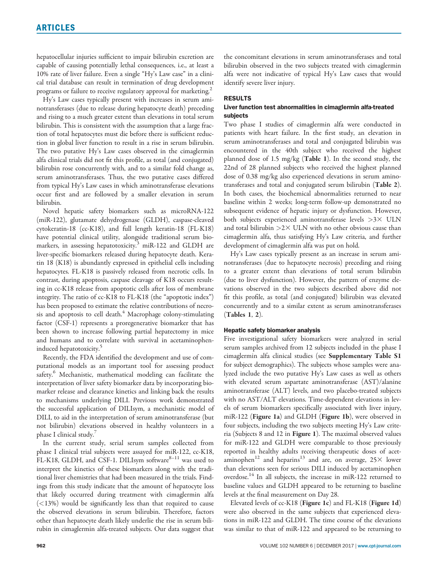hepatocellular injuries sufficient to impair bilirubin excretion are capable of causing potentially lethal consequences, i.e., at least a 10% rate of liver failure. Even a single "Hy's Law case" in a clinical trial database can result in termination of drug development programs or failure to receive regulatory approval for marketing.<sup>2</sup>

Hy's Law cases typically present with increases in serum aminotransferases (due to release during hepatocyte death) preceding and rising to a much greater extent than elevations in total serum bilirubin. This is consistent with the assumption that a large fraction of total hepatocytes must die before there is sufficient reduction in global liver function to result in a rise in serum bilirubin. The two putative Hy's Law cases observed in the cimaglermin alfa clinical trials did not fit this profile, as total (and conjugated) bilirubin rose concurrently with, and to a similar fold change as, serum aminotransferases. Thus, the two putative cases differed from typical Hy's Law cases in which aminotransferase elevations occur first and are followed by a smaller elevation in serum bilirubin.

Novel hepatic safety biomarkers such as microRNA-122 (miR-122), glutamate dehydrogenase (GLDH), caspase-cleaved cytokeratin-18 (cc-K18), and full length keratin-18 (FL-K18) have potential clinical utility, alongside traditional serum biomarkers, in assessing hepatotoxicity.<sup>3</sup> miR-122 and GLDH are liver-specific biomarkers released during hepatocyte death. Keratin 18 (K18) is abundantly expressed in epithelial cells including hepatocytes. FL-K18 is passively released from necrotic cells. In contrast, during apoptosis, caspase cleavage of K18 occurs resulting in cc-K18 release from apoptotic cells after loss of membrane integrity. The ratio of cc-K18 to FL-K18 (the "apoptotic index") has been proposed to estimate the relative contributions of necrosis and apoptosis to cell death. $4$  Macrophage colony-stimulating factor (CSF-1) represents a proregenerative biomarker that has been shown to increase following partial hepatectomy in mice and humans and to correlate with survival in acetaminopheninduced hepatotoxicity.<sup>5</sup>

Recently, the FDA identified the development and use of computational models as an important tool for assessing product safety.<sup>6</sup> Mechanistic, mathematical modeling can facilitate the interpretation of liver safety biomarker data by incorporating biomarker release and clearance kinetics and linking back the results to mechanisms underlying DILI. Previous work demonstrated the successful application of DILIsym, a mechanistic model of DILI, to aid in the interpretation of serum aminotransferase (but not bilirubin) elevations observed in healthy volunteers in a phase I clinical study.<sup>7</sup>

In the current study, serial serum samples collected from phase I clinical trial subjects were assayed for miR-122, cc-K18, FL-K18, GLDH, and CSF-1. DILIsym software<sup>8-11</sup> was used to interpret the kinetics of these biomarkers along with the traditional liver chemistries that had been measured in the trials. Findings from this study indicate that the amount of hepatocyte loss that likely occurred during treatment with cimaglermin alfa (<13%) would be significantly less than that required to cause the observed elevations in serum bilirubin. Therefore, factors other than hepatocyte death likely underlie the rise in serum bilirubin in cimaglermin alfa-treated subjects. Our data suggest that the concomitant elevations in serum aminotransferases and total bilirubin observed in the two subjects treated with cimaglermin alfa were not indicative of typical Hy's Law cases that would identify severe liver injury.

#### RESULTS

#### Liver function test abnormalities in cimaglermin alfa-treated subjects

Two phase I studies of cimaglermin alfa were conducted in patients with heart failure. In the first study, an elevation in serum aminotransferases and total and conjugated bilirubin was encountered in the 40th subject who received the highest planned dose of 1.5 mg/kg (Table 1). In the second study, the 22nd of 28 planned subjects who received the highest planned dose of 0.38 mg/kg also experienced elevations in serum aminotransferases and total and conjugated serum bilirubin (Table 2). In both cases, the biochemical abnormalities returned to near baseline within 2 weeks; long-term follow-up demonstrated no subsequent evidence of hepatic injury or dysfunction. However, both subjects experienced aminotransferase levels  $>3\times$  ULN and total bilirubin  $>2\times$  ULN with no other obvious cause than cimaglermin alfa, thus satisfying Hy's Law criteria, and further development of cimaglermin alfa was put on hold.

Hy's Law cases typically present as an increase in serum aminotransferases (due to hepatocyte necrosis) preceding and rising to a greater extent than elevations of total serum bilirubin (due to liver dysfunction). However, the pattern of enzyme elevations observed in the two subjects described above did not fit this profile, as total (and conjugated) bilirubin was elevated concurrently and to a similar extent as serum aminotransferases (Tables 1, 2).

#### Hepatic safety biomarker analysis

Five investigational safety biomarkers were analyzed in serial serum samples archived from 12 subjects included in the phase I cimaglermin alfa clinical studies (see Supplementary Table S1 for subject demographics). The subjects whose samples were analyzed include the two putative Hy's Law cases as well as others with elevated serum aspartate aminotransferase (AST)/alanine aminotransferase (ALT) levels, and two placebo-treated subjects with no AST/ALT elevations. Time-dependent elevations in levels of serum biomarkers specifically associated with liver injury, miR-122 (Figure 1a) and GLDH (Figure 1b), were observed in four subjects, including the two subjects meeting Hy's Law criteria (Subjects 8 and 12 in Figure 1). The maximal observed values for miR-122 and GLDH were comparable to those previously reported in healthy adults receiving therapeutic doses of acetaminophen<sup>12</sup> and heparins<sup>13</sup> and are, on average,  $25\times$  lower than elevations seen for serious DILI induced by acetaminophen overdose.<sup>14</sup> In all subjects, the increase in miR-122 returned to baseline values and GLDH appeared to be returning to baseline levels at the final measurement on Day 28.

Elevated levels of cc-K18 (Figure 1c) and FL-K18 (Figure 1d) were also observed in the same subjects that experienced elevations in miR-122 and GLDH. The time course of the elevations was similar to that of miR-122 and appeared to be returning to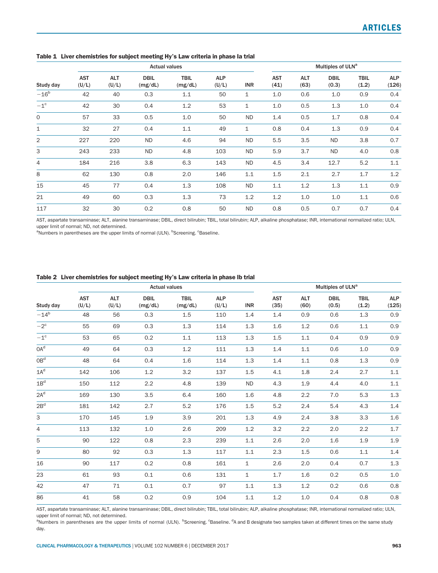|                   | <b>Actual values</b> |                     |                        |                        |                     |              |                    | Multiples of ULN <sup>a</sup> |                      |                      |                     |  |
|-------------------|----------------------|---------------------|------------------------|------------------------|---------------------|--------------|--------------------|-------------------------------|----------------------|----------------------|---------------------|--|
| Study day         | <b>AST</b><br>(U/L)  | <b>ALT</b><br>(U/L) | <b>DBIL</b><br>(mg/dL) | <b>TBIL</b><br>(mg/dL) | <b>ALP</b><br>(U/L) | <b>INR</b>   | <b>AST</b><br>(41) | <b>ALT</b><br>(63)            | <b>DBIL</b><br>(0.3) | <b>TBIL</b><br>(1.2) | <b>ALP</b><br>(126) |  |
| $-16^b$           | 42                   | 40                  | 0.3                    | 1.1                    | 50                  | 1            | 1.0                | 0.6                           | 1.0                  | 0.9                  | 0.4                 |  |
| $-1$ <sup>c</sup> | 42                   | 30                  | 0.4                    | 1.2                    | 53                  | 1            | 1.0                | 0.5                           | 1.3                  | 1.0                  | 0.4                 |  |
| $\Omega$          | 57                   | 33                  | 0.5                    | 1.0                    | 50                  | <b>ND</b>    | 1.4                | 0.5                           | 1.7                  | 0.8                  | 0.4                 |  |
| 1                 | 32                   | 27                  | 0.4                    | 1.1                    | 49                  | $\mathbf{1}$ | 0.8                | 0.4                           | 1.3                  | 0.9                  | 0.4                 |  |
| $\overline{2}$    | 227                  | 220                 | <b>ND</b>              | 4.6                    | 94                  | <b>ND</b>    | 5.5                | 3.5                           | <b>ND</b>            | 3.8                  | 0.7                 |  |
| 3                 | 243                  | 233                 | <b>ND</b>              | 4.8                    | 103                 | <b>ND</b>    | 5.9                | 3.7                           | <b>ND</b>            | 4.0                  | 0.8                 |  |
| 4                 | 184                  | 216                 | 3.8                    | 6.3                    | 143                 | <b>ND</b>    | 4.5                | 3.4                           | 12.7                 | 5.2                  | 1.1                 |  |
| 8                 | 62                   | 130                 | 0.8                    | 2.0                    | 146                 | 1.1          | 1.5                | 2.1                           | 2.7                  | 1.7                  | 1.2                 |  |
| 15                | 45                   | 77                  | 0.4                    | 1.3                    | 108                 | <b>ND</b>    | 1.1                | 1.2                           | 1.3                  | 1.1                  | 0.9                 |  |
| 21                | 49                   | 60                  | 0.3                    | 1.3                    | 73                  | 1.2          | 1.2                | 1.0                           | 1.0                  | 1.1                  | 0.6                 |  |
| 117               | 32                   | 30                  | 0.2                    | 0.8                    | 50                  | <b>ND</b>    | 0.8                | 0.5                           | 0.7                  | 0.7                  | 0.4                 |  |

Table 1 Liver chemistries for subject meeting Hy's Law criteria in phase la trial

AST, aspartate transaminase; ALT, alanine transaminase; DBIL, direct bilirubin; TBIL, total bilirubin; ALP, alkaline phosphatase; INR, international normalized ratio; ULN, upper limit of normal; ND, not determined.

<sup>a</sup>Numbers in parentheses are the upper limits of normal (ULN). <sup>b</sup>Screening. <sup>c</sup>Baseline.

## Table 2 Liver chemistries for subject meeting Hy's Law criteria in phase Ib trial

|                 | <b>Actual values</b> |                     |                        |                        |                     |              |                    | Multiples of ULN <sup>a</sup> |                      |                      |                     |  |
|-----------------|----------------------|---------------------|------------------------|------------------------|---------------------|--------------|--------------------|-------------------------------|----------------------|----------------------|---------------------|--|
| Study day       | <b>AST</b><br>(U/L)  | <b>ALT</b><br>(U/L) | <b>DBIL</b><br>(mg/dL) | <b>TBIL</b><br>(mg/dL) | <b>ALP</b><br>(U/L) | <b>INR</b>   | <b>AST</b><br>(35) | <b>ALT</b><br>(60)            | <b>DBIL</b><br>(0.5) | <b>TBIL</b><br>(1.2) | <b>ALP</b><br>(125) |  |
| $-14^{b}$       | 48                   | 56                  | 0.3                    | 1.5                    | 110                 | 1.4          | 1.4                | 0.9                           | 0.6                  | 1.3                  | 0.9                 |  |
| $-2^{\circ}$    | 55                   | 69                  | 0.3                    | 1.3                    | 114                 | 1.3          | 1.6                | 1.2                           | 0.6                  | 1.1                  | 0.9                 |  |
| $-1^{\circ}$    | 53                   | 65                  | 0.2                    | 1.1                    | 113                 | 1.3          | 1.5                | 1.1                           | 0.4                  | 0.9                  | 0.9                 |  |
| OA <sup>d</sup> | 49                   | 64                  | 0.3                    | 1.2                    | 111                 | 1.3          | 1.4                | 1.1                           | 0.6                  | 1.0                  | 0.9                 |  |
| $\rm OB^d$      | 48                   | 64                  | 0.4                    | 1.6                    | 114                 | 1.3          | 1.4                | 1.1                           | 0.8                  | 1.3                  | 0.9                 |  |
| $1A^d$          | 142                  | 106                 | 1.2                    | 3.2                    | 137                 | 1.5          | 4.1                | 1.8                           | 2.4                  | 2.7                  | $1.1\,$             |  |
| 1B <sup>d</sup> | 150                  | 112                 | 2.2                    | 4.8                    | 139                 | <b>ND</b>    | 4.3                | 1.9                           | 4.4                  | 4.0                  | $1.1\,$             |  |
| $2A^d$          | 169                  | 130                 | 3.5                    | 6.4                    | 160                 | 1.6          | 4.8                | 2.2                           | 7.0                  | 5.3                  | 1.3                 |  |
| 2B <sup>d</sup> | 181                  | 142                 | 2.7                    | 5.2                    | 176                 | 1.5          | 5.2                | 2.4                           | 5.4                  | 4.3                  | 1.4                 |  |
| 3               | 170                  | 145                 | 1.9                    | 3.9                    | 201                 | 1.3          | 4.9                | 2.4                           | 3.8                  | 3.3                  | 1.6                 |  |
| 4               | 113                  | 132                 | 1.0                    | 2.6                    | 209                 | 1.2          | 3.2                | 2.2                           | 2.0                  | 2.2                  | 1.7                 |  |
| 5               | 90                   | 122                 | 0.8                    | 2.3                    | 239                 | 1.1          | 2.6                | 2.0                           | 1.6                  | 1.9                  | 1.9                 |  |
| 9               | 80                   | 92                  | 0.3                    | 1.3                    | 117                 | 1.1          | 2.3                | 1.5                           | 0.6                  | 1.1                  | 1.4                 |  |
| 16              | 90                   | 117                 | 0.2                    | 0.8                    | 161                 | $\mathbf{1}$ | 2.6                | 2.0                           | 0.4                  | 0.7                  | 1.3                 |  |
| 23              | 61                   | 93                  | 0.1                    | 0.6                    | 131                 | $\mathbf{1}$ | 1.7                | 1.6                           | 0.2                  | 0.5                  | 1.0                 |  |
| 42              | 47                   | 71                  | 0.1                    | 0.7                    | 97                  | 1.1          | 1.3                | 1.2                           | 0.2                  | 0.6                  | 0.8                 |  |
| 86              | 41                   | 58                  | 0.2                    | 0.9                    | 104                 | 1.1          | 1.2                | 1.0                           | 0.4                  | 0.8                  | 0.8                 |  |

AST, aspartate transaminase; ALT, alanine transaminase; DBIL, direct bilirubin; TBIL, total bilirubin; ALP, alkaline phosphatase; INR, international normalized ratio; ULN, upper limit of normal; ND, not determined.

<sup>a</sup>Numbers in parentheses are the upper limits of normal (ULN). <sup>b</sup>Screening. <sup>c</sup>Baseline. <sup>d</sup>A and B designate two samples taken at different times on the same study day.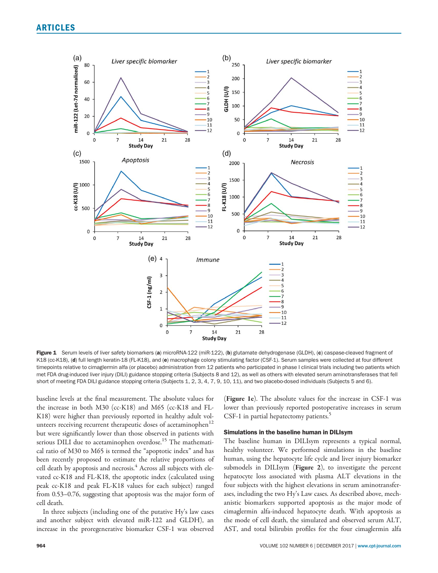

Figure 1 Serum levels of liver safety biomarkers (a) microRNA-122 (miR-122), (b) glutamate dehydrogenase (GLDH), (c) caspase-cleaved fragment of K18 (cc-K18), (d) full length keratin-18 (FL-K18), and (e) macrophage colony stimulating factor (CSF-1). Serum samples were collected at four different timepoints relative to cimaglermin alfa (or placebo) administration from 12 patients who participated in phase I clinical trials including two patients which met FDA drug-induced liver injury (DILI) guidance stopping criteria (Subjects 8 and 12), as well as others with elevated serum aminotransferases that fell short of meeting FDA DILI guidance stopping criteria (Subjects 1, 2, 3, 4, 7, 9, 10, 11), and two placebo-dosed individuals (Subjects 5 and 6).

baseline levels at the final measurement. The absolute values for the increase in both M30 (cc-K18) and M65 (cc-K18 and FL-K18) were higher than previously reported in healthy adult volunteers receiving recurrent therapeutic doses of acetaminophen<sup>12</sup> but were significantly lower than those observed in patients with serious DILI due to acetaminophen overdose.<sup>15</sup> The mathematical ratio of M30 to M65 is termed the "apoptotic index" and has been recently proposed to estimate the relative proportions of cell death by apoptosis and necrosis.<sup>4</sup> Across all subjects with elevated cc-K18 and FL-K18, the apoptotic index (calculated using peak cc-K18 and peak FL-K18 values for each subject) ranged from 0.53–0.76, suggesting that apoptosis was the major form of cell death.

In three subjects (including one of the putative Hy's law cases and another subject with elevated miR-122 and GLDH), an increase in the proregenerative biomarker CSF-1 was observed

(Figure 1e). The absolute values for the increase in CSF-1 was lower than previously reported postoperative increases in serum CSF-1 in partial hepatectomy patients.<sup>5</sup>

#### Simulations in the baseline human in DILIsym

The baseline human in DILIsym represents a typical normal, healthy volunteer. We performed simulations in the baseline human, using the hepatocyte life cycle and liver injury biomarker submodels in DILIsym (Figure 2), to investigate the percent hepatocyte loss associated with plasma ALT elevations in the four subjects with the highest elevations in serum aminotransferases, including the two Hy's Law cases. As described above, mechanistic biomarkers supported apoptosis as the major mode of cimaglermin alfa-induced hepatocyte death. With apoptosis as the mode of cell death, the simulated and observed serum ALT, AST, and total bilirubin profiles for the four cimaglermin alfa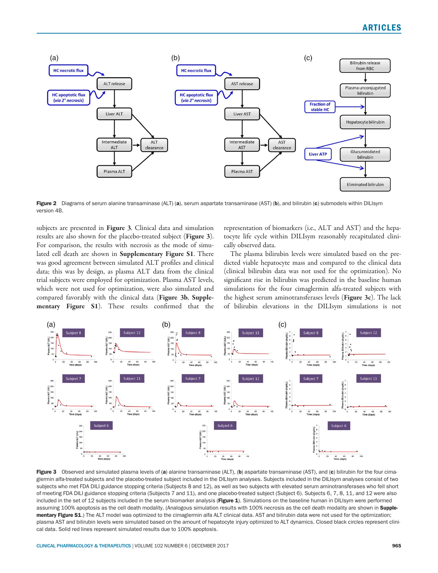

Figure 2 Diagrams of serum alanine transaminase (ALT) (a), serum aspartate transaminase (AST) (b), and bilirubin (c) submodels within DILIsym version 4B.

subjects are presented in **Figure 3**. Clinical data and simulation results are also shown for the placebo-treated subject (Figure 3). For comparison, the results with necrosis as the mode of simulated cell death are shown in Supplementary Figure S1. There was good agreement between simulated ALT profiles and clinical data; this was by design, as plasma ALT data from the clinical trial subjects were employed for optimization. Plasma AST levels, which were not used for optimization, were also simulated and compared favorably with the clinical data (Figure 3b, Supplementary Figure S1). These results confirmed that the representation of biomarkers (i.e., ALT and AST) and the hepatocyte life cycle within DILIsym reasonably recapitulated clinically observed data.

The plasma bilirubin levels were simulated based on the predicted viable hepatocyte mass and compared to the clinical data (clinical bilirubin data was not used for the optimization). No significant rise in bilirubin was predicted in the baseline human simulations for the four cimaglermin alfa-treated subjects with the highest serum aminotransferases levels (Figure 3c). The lack of bilirubin elevations in the DILIsym simulations is not



Figure 3 Observed and simulated plasma levels of (a) alanine transaminase (ALT), (b) aspartate transaminase (AST), and (c) bilirubin for the four cimaglermin alfa-treated subjects and the placebo-treated subject included in the DILIsym analyses. Subjects included in the DILIsym analyses consist of two subjects who met FDA DILI guidance stopping criteria (Subjects 8 and 12), as well as two subjects with elevated serum aminotransferases who fell short of meeting FDA DILI guidance stopping criteria (Subjects 7 and 11), and one placebo-treated subject (Subject 6). Subjects 6, 7, 8, 11, and 12 were also included in the set of 12 subjects included in the serum biomarker analysis (Figure 1). Simulations on the baseline human in DILIsym were performed assuming 100% apoptosis as the cell death modality. (Analogous simulation results with 100% necrosis as the cell death modality are shown in Supplementary Figure S1.) The ALT model was optimized to the cimaglermin alfa ALT clinical data. AST and bilirubin data were not used for the optimization; plasma AST and bilirubin levels were simulated based on the amount of hepatocyte injury optimized to ALT dynamics. Closed black circles represent clinical data. Solid red lines represent simulated results due to 100% apoptosis.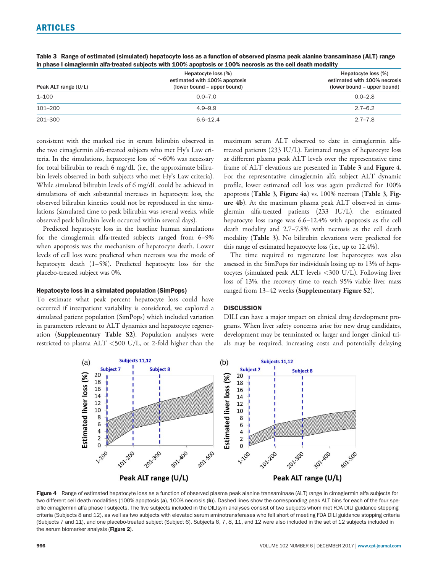| Peak ALT range $(U/L)$ | Hepatocyte loss (%)<br>estimated with 100% apoptosis<br>(lower bound – upper bound) | Hepatocyte loss (%)<br>estimated with 100% necrosis<br>(lower bound – upper bound) |  |  |  |
|------------------------|-------------------------------------------------------------------------------------|------------------------------------------------------------------------------------|--|--|--|
| $1 - 100$              | $0.0 - 7.0$                                                                         | $0.0 - 2.8$                                                                        |  |  |  |
| 101–200                | $4.9 - 9.9$                                                                         | $2.7 - 6.2$                                                                        |  |  |  |
| 201-300                | $6.6 - 12.4$                                                                        | $2.7 - 7.8$                                                                        |  |  |  |

Table 3 Range of estimated (simulated) hepatocyte loss as a function of observed plasma peak alanine transaminase (ALT) range in phase I cimaglermin alfa-treated subjects with 100% apoptosis or 100% necrosis as the cell death modality

consistent with the marked rise in serum bilirubin observed in the two cimaglermin alfa-treated subjects who met Hy's Law criteria. In the simulations, hepatocyte loss of  ${\sim}60\%$  was necessary for total bilirubin to reach 6 mg/dL (i.e., the approximate bilirubin levels observed in both subjects who met Hy's Law criteria). While simulated bilirubin levels of 6 mg/dL could be achieved in simulations of such substantial increases in hepatocyte loss, the observed bilirubin kinetics could not be reproduced in the simulations (simulated time to peak bilirubin was several weeks, while observed peak bilirubin levels occurred within several days).

Predicted hepatocyte loss in the baseline human simulations for the cimaglermin alfa-treated subjects ranged from 6–9% when apoptosis was the mechanism of hepatocyte death. Lower levels of cell loss were predicted when necrosis was the mode of hepatocyte death (1–5%). Predicted hepatocyte loss for the placebo-treated subject was 0%.

#### Hepatocyte loss in a simulated population (SimPops)

To estimate what peak percent hepatocyte loss could have occurred if interpatient variability is considered, we explored a simulated patient population (SimPops) which included variation in parameters relevant to ALT dynamics and hepatocyte regeneration (Supplementary Table S2). Population analyses were restricted to plasma ALT <500 U/L, or 2-fold higher than the maximum serum ALT observed to date in cimaglermin alfatreated patients (233 IU/L). Estimated ranges of hepatocyte loss at different plasma peak ALT levels over the representative time frame of ALT elevations are presented in Table 3 and Figure 4. For the representative cimaglermin alfa subject ALT dynamic profile, lower estimated cell loss was again predicted for 100% apoptosis (Table 3, Figure 4a) vs. 100% necrosis (Table 3, Figure 4b). At the maximum plasma peak ALT observed in cimaglermin alfa-treated patients (233 IU/L), the estimated hepatocyte loss range was 6.6–12.4% with apoptosis as the cell death modality and 2.7–7.8% with necrosis as the cell death modality (Table 3). No bilirubin elevations were predicted for this range of estimated hepatocyte loss (i.e., up to 12.4%).

The time required to regenerate lost hepatocytes was also assessed in the SimPops for individuals losing up to 13% of hepatocytes (simulated peak ALT levels <300 U/L). Following liver loss of 13%, the recovery time to reach 95% viable liver mass ranged from 13–42 weeks (Supplementary Figure S2).

### **DISCUSSION**

DILI can have a major impact on clinical drug development programs. When liver safety concerns arise for new drug candidates, development may be terminated or larger and longer clinical trials may be required, increasing costs and potentially delaying



Figure 4 Range of estimated hepatocyte loss as a function of observed plasma peak alanine transaminase (ALT) range in cimaglermin alfa subjects for two different cell death modalities (100% apoptosis (a), 100% necrosis (b)). Dashed lines show the corresponding peak ALT bins for each of the four specific cimaglermin alfa phase I subjects. The five subjects included in the DILIsym analyses consist of two subjects whom met FDA DILI guidance stopping criteria (Subjects 8 and 12), as well as two subjects with elevated serum aminotransferases who fell short of meeting FDA DILI guidance stopping criteria (Subjects 7 and 11), and one placebo-treated subject (Subject 6). Subjects 6, 7, 8, 11, and 12 were also included in the set of 12 subjects included in the serum biomarker analysis (Figure 2).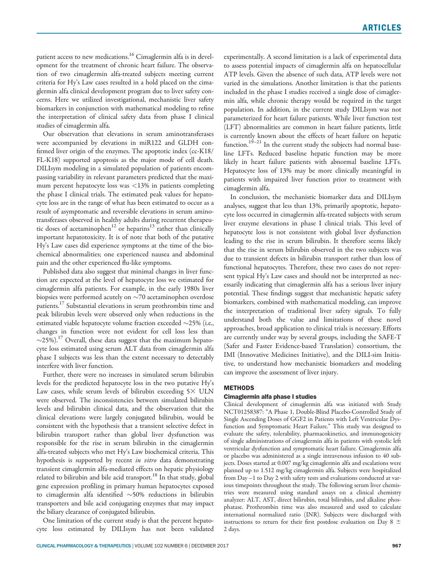patient access to new medications.<sup>16</sup> Cimaglermin alfa is in development for the treatment of chronic heart failure. The observation of two cimaglermin alfa-treated subjects meeting current criteria for Hy's Law cases resulted in a hold placed on the cimaglermin alfa clinical development program due to liver safety concerns. Here we utilized investigational, mechanistic liver safety biomarkers in conjunction with mathematical modeling to refine the interpretation of clinical safety data from phase I clinical studies of cimaglermin alfa.

Our observation that elevations in serum aminotransferases were accompanied by elevations in miR122 and GLDH confirmed liver origin of the enzymes. The apoptotic index (cc-K18/ FL-K18) supported apoptosis as the major mode of cell death. DILIsym modeling in a simulated population of patients encompassing variability in relevant parameters predicted that the maximum percent hepatocyte loss was <13% in patients completing the phase I clinical trials. The estimated peak values for hepatocyte loss are in the range of what has been estimated to occur as a result of asymptomatic and reversible elevations in serum aminotransferases observed in healthy adults during recurrent therapeutic doses of acetaminophen $12$  or heparins<sup>13</sup> rather than clinically important hepatotoxicity. It is of note that both of the putative Hy's Law cases did experience symptoms at the time of the biochemical abnormalities; one experienced nausea and abdominal pain and the other experienced flu-like symptoms.

Published data also suggest that minimal changes in liver function are expected at the level of hepatocyte loss we estimated for cimaglermin alfa patients. For example, in the early 1980s liver biopsies were performed acutely on  ${\sim}70$  acetaminophen overdose patients.<sup>17</sup> Substantial elevations in serum prothrombin time and peak bilirubin levels were observed only when reductions in the estimated viable hepatocyte volume fraction exceeded  $\sim$ 25% (i.e., changes in function were not evident for cell loss less than  $\sim$ 25%). $^{17}$  Overall, these data suggest that the maximum hepatocyte loss estimated using serum ALT data from cimaglermin alfa phase I subjects was less than the extent necessary to detectably interfere with liver function.

Further, there were no increases in simulated serum bilirubin levels for the predicted hepatocyte loss in the two putative Hy's Law cases, while serum levels of bilirubin exceeding  $5 \times$  ULN were observed. The inconsistencies between simulated bilirubin levels and bilirubin clinical data, and the observation that the clinical elevations were largely conjugated bilirubin, would be consistent with the hypothesis that a transient selective defect in bilirubin transport rather than global liver dysfunction was responsible for the rise in serum bilirubin in the cimaglermin alfa-treated subjects who met Hy's Law biochemical criteria. This hypothesis is supported by recent in vitro data demonstrating transient cimaglermin alfa-mediated effects on hepatic physiology related to bilirubin and bile acid transport.<sup>18</sup> In that study, global gene expression profiling in primary human hepatocytes exposed to cimaglermin alfa identified  ${\sim}50\%$  reductions in bilirubin transporters and bile acid conjugating enzymes that may impact the biliary clearance of conjugated bilirubin.

One limitation of the current study is that the percent hepatocyte loss estimated by DILIsym has not been validated experimentally. A second limitation is a lack of experimental data to assess potential impacts of cimaglermin alfa on hepatocellular ATP levels. Given the absence of such data, ATP levels were not varied in the simulations. Another limitation is that the patients included in the phase I studies received a single dose of cimaglermin alfa, while chronic therapy would be required in the target population. In addition, in the current study DILIsym was not parameterized for heart failure patients. While liver function test (LFT) abnormalities are common in heart failure patients, little is currently known about the effects of heart failure on hepatic function.<sup>19–21</sup> In the current study the subjects had normal baseline LFTs. Reduced baseline hepatic function may be more likely in heart failure patients with abnormal baseline LFTs. Hepatocyte loss of 13% may be more clinically meaningful in patients with impaired liver function prior to treatment with cimaglermin alfa.

In conclusion, the mechanistic biomarker data and DILIsym analyses, suggest that less than 13%, primarily apoptotic, hepatocyte loss occurred in cimaglermin alfa-treated subjects with serum liver enzyme elevations in phase I clinical trials. This level of hepatocyte loss is not consistent with global liver dysfunction leading to the rise in serum bilirubin. It therefore seems likely that the rise in serum bilirubin observed in the two subjects was due to transient defects in bilirubin transport rather than loss of functional hepatocytes. Therefore, these two cases do not represent typical Hy's Law cases and should not be interpreted as necessarily indicating that cimaglermin alfa has a serious liver injury potential. These findings suggest that mechanistic hepatic safety biomarkers, combined with mathematical modeling, can improve the interpretation of traditional liver safety signals. To fully understand both the value and limitations of these novel approaches, broad application to clinical trials is necessary. Efforts are currently under way by several groups, including the SAFE-T (Safer and Faster Evidence-based Translation) consortium, the IMI (Innovative Medicines Initiative), and the DILI-sim Initiative, to understand how mechanistic biomarkers and modeling can improve the assessment of liver injury.

# **METHODS**

#### Cimaglermin alfa phase I studies

Clinical development of cimaglermin alfa was initiated with Study NCT01258387: "A Phase 1, Double-Blind Placebo-Controlled Study of Single Ascending Doses of GGF2 in Patients with Left Ventricular Dysfunction and Symptomatic Heart Failure." This study was designed to evaluate the safety, tolerability, pharmacokinetics, and immunogenicity of single administrations of cimaglermin alfa in patients with systolic left ventricular dysfunction and symptomatic heart failure. Cimaglermin alfa or placebo was administered as a single intravenous infusion to 40 subjects. Doses started at 0.007 mg/kg cimaglermin alfa and escalations were planned up to 1.512 mg/kg cimaglermin alfa. Subjects were hospitalized from Day –1 to Day 2 with safety tests and evaluations conducted at various timepoints throughout the study. The following serum liver chemistries were measured using standard assays on a clinical chemistry analyzer: ALT, AST, direct bilirubin, total bilirubin, and alkaline phosphatase. Prothrombin time was also measured and used to calculate international normalized ratio (INR). Subjects were discharged with instructions to return for their first postdose evaluation on Day 8  $\pm$ 2 days.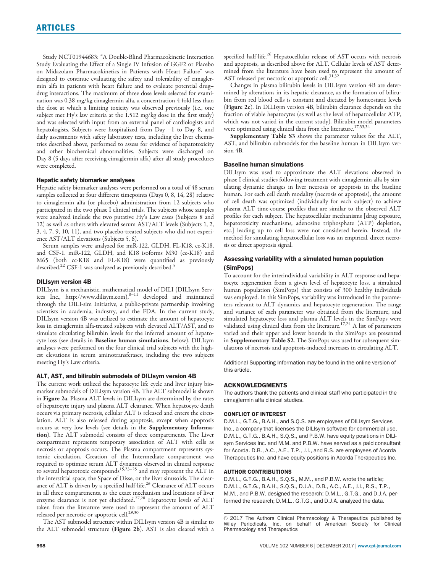Study NCT01944683: "A Double-Blind Pharmacokinetic Interaction Study Evaluating the Effect of a Single IV Infusion of GGF2 or Placebo on Midazolam Pharmacokinetics in Patients with Heart Failure" was designed to continue evaluating the safety and tolerability of cimaglermin alfa in patients with heart failure and to evaluate potential drug– drug interactions. The maximum of three dose levels selected for examination was 0.38 mg/kg cimaglermin alfa, a concentration 4-fold less than the dose at which a limiting toxicity was observed previously (i.e., one subject met Hy's law criteria at the 1.512 mg/kg dose in the first study) and was selected with input from an external panel of cardiologists and hepatologists. Subjects were hospitalized from Day -1 to Day 8, and daily assessments with safety laboratory tests, including the liver chemistries described above, performed to assess for evidence of hepatotoxicity and other biochemical abnormalities. Subjects were discharged on Day 8 (5 days after receiving cimaglermin alfa) after all study procedures were completed.

#### Hepatic safety biomarker analyses

Hepatic safety biomarker analyses were performed on a total of 48 serum samples collected at four different timepoints (Days 0, 8, 14, 28) relative to cimaglermin alfa (or placebo) administration from 12 subjects who participated in the two phase I clinical trials. The subjects whose samples were analyzed include the two putative Hy's Law cases (Subjects 8 and 12) as well as others with elevated serum AST/ALT levels (Subjects 1, 2, 3, 4, 7, 9, 10, 11), and two placebo-treated subjects who did not experience AST/ALT elevations (Subjects 5, 6).

Serum samples were analyzed for miR-122, GLDH, FL-K18, cc-K18, and CSF-1. miR-122, GLDH, and K18 isoforms M30 (cc-K18) and M65 (both cc-K18 and FL-K18) were quantified as previously described.<sup>22</sup> CSF-1 was analyzed as previously described.<sup>5</sup>

## DILIsym version 4B

DILIsym is a mechanistic, mathematical model of DILI (DILIsym Serv-ices Inc.,<http://www.dilisym.com>),8–11 developed and maintained through the DILI-sim Initiative, a public-private partnership involving scientists in academia, industry, and the FDA. In the current study, DILIsym version 4B was utilized to estimate the amount of hepatocyte loss in cimaglermin alfa-treated subjects with elevated ALT/AST, and to simulate circulating bilirubin levels for the inferred amount of hepatocyte loss (see details in Baseline human simulations, below). DILIsym analyses were performed on the four clinical trial subjects with the highest elevations in serum aminotransferases, including the two subjects meeting Hy's Law criteria.

#### ALT, AST, and bilirubin submodels of DILIsym version 4B

The current work utilized the hepatocyte life cycle and liver injury biomarker submodels of DILIsym version 4B. The ALT submodel is shown in Figure 2a. Plasma ALT levels in DILIsym are determined by the rates of hepatocyte injury and plasma ALT clearance. When hepatocyte death occurs via primary necrosis, cellular ALT is released and enters the circulation. ALT is also released during apoptosis, except when apoptosis occurs at very low levels (see details in the Supplementary Information). The ALT submodel consists of three compartments. The Liver compartment represents temporary association of ALT with cells as necrosis or apoptosis occurs. The Plasma compartment represents systemic circulation. Creation of the Intermediate compartment was required to optimize serum ALT dynamics observed in clinical response to several hepatotoxic compounds<sup>15,23–25</sup> and may represent the ALT in the interstitial space, the Space of Disse, or the liver sinusoids. The clearance of ALT is driven by a specified half-life.<sup>26</sup> Clearance of ALT occurs in all three compartments, as the exact mechanism and locations of liver<br>enzyme clearance is not yet elucidated.<sup>27,28</sup> Hepatocyte levels of ALT taken from the literature were used to represent the amount of ALT<br>released per necrotic or apoptotic cell.<sup>29,30</sup>

The AST submodel structure within DILIsym version 4B is similar to the ALT submodel structure (Figure 2b). AST is also cleared with a

specified half-life.<sup>26</sup> Hepatocellular release of AST occurs with necrosis and apoptosis, as described above for ALT. Cellular levels of AST determined from the literature have been used to represent the amount of AST released per necrotic or apoptotic cell.<sup>31,32</sup>

Changes in plasma bilirubin levels in DILIsym version 4B are determined by alterations in its hepatic clearance, as the formation of bilirubin from red blood cells is constant and dictated by homeostatic levels (Figure 2c). In DILIsym version 4B, bilirubin clearance depends on the fraction of viable hepatocytes (as well as the level of hepatocellular ATP, which was not varied in the current study). Bilirubin model parameters were optimized using clinical data from the literature.<sup>17,33,34</sup>

Supplementary Table S3 shows the parameter values for the ALT, AST, and bilirubin submodels for the baseline human in DILIsym version 4B.

#### Baseline human simulations

DILIsym was used to approximate the ALT elevations observed in phase I clinical studies following treatment with cimaglermin alfa by simulating dynamic changes in liver necrosis or apoptosis in the baseline human. For each cell death modality (necrosis or apoptosis), the amount of cell death was optimized (individually for each subject) to achieve plasma ALT time-course profiles that are similar to the observed ALT profiles for each subject. The hepatocellular mechanisms [drug exposure, hepatotoxicity mechanisms, adenosine triphosphate (ATP) depletion, etc.] leading up to cell loss were not considered herein. Instead, the method for simulating hepatocellular loss was an empirical, direct necrosis or direct apoptosis signal.

#### Assessing variability with a simulated human population (SimPops)

To account for the interindividual variability in ALT response and hepatocyte regeneration from a given level of hepatocyte loss, a simulated human population (SimPops) that consists of 300 healthy individuals was employed. In this SimPops, variability was introduced in the parameters relevant to ALT dynamics and hepatocyte regeneration. The range and variance of each parameter was obtained from the literature, and simulated hepatocyte loss and plasma ALT levels in the SimPops were<br>validated using clinical data from the literature.<sup>17,24</sup> A list of parameters varied and their upper and lower bounds in the SimPops are presented in Supplementary Table S2. The SimPops was used for subsequent simulations of necrosis and apoptosis-induced increases in circulating ALT.

Additional Supporting Information may be found in the online version of this article.

#### ACKNOWLEDGMENTS

The authors thank the patients and clinical staff who participated in the cimaglermin alfa clinical studies.

#### CONFLICT OF INTEREST

D.M.L., G.T.G., B.A.H., and S.Q.S. are employees of DILIsym Services Inc., a company that licenses the DILIsym software for commercial use. D.M.L., G.T.G., B.A.H., S.Q.S., and P.B.W. have equity positions in DILIsym Services Inc. and M.M. and P.B.W. have served as a paid consultant for Acorda. D.B., A.C., A.E., T.P., J.I., and R.S. are employees of Acorda Therapeutics Inc. and have equity positions in Acorda Therapeutics Inc.

#### AUTHOR CONTRIBUTIONS

D.M.L., G.T.G., B.A.H., S.Q.S., M.M., and P.B.W. wrote the article; D.M.L., G.T.G., B.A.H., S.Q.S., D.J.A., D.B., A.C., A.E., J.I., R.S., T.P., M.M., and P.B.W. designed the research; D.M.L., G.T.G., and D.J.A. performed the research; D.M.L., G.T.G., and D.J.A. analyzed the data.

 $© 2017$  The Authors Clinical Pharmacology & Therapeutics published by Wiley Periodicals, Inc. on behalf of American Society for Clinical Pharmacology and Therapeutics